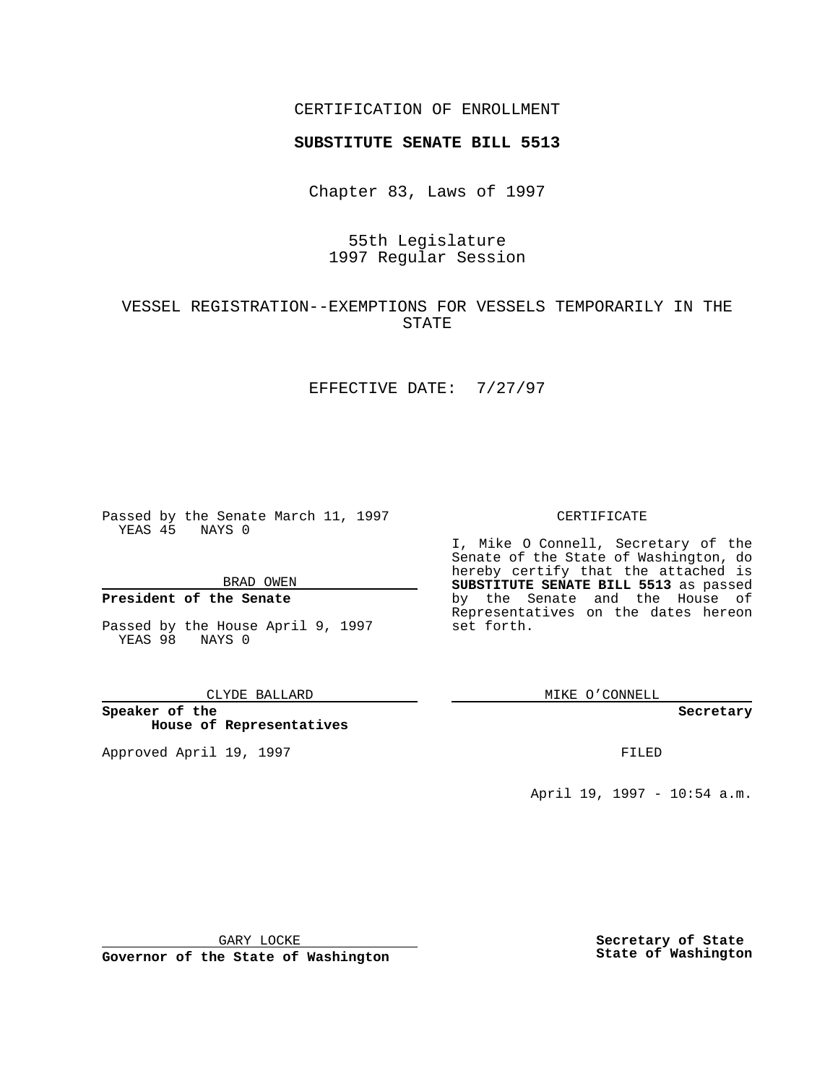## CERTIFICATION OF ENROLLMENT

# **SUBSTITUTE SENATE BILL 5513**

Chapter 83, Laws of 1997

# 55th Legislature 1997 Regular Session

# VESSEL REGISTRATION--EXEMPTIONS FOR VESSELS TEMPORARILY IN THE STATE

## EFFECTIVE DATE: 7/27/97

Passed by the Senate March 11, 1997 YEAS 45 NAYS 0

BRAD OWEN

## **President of the Senate**

Passed by the House April 9, 1997 YEAS 98 NAYS 0

#### CLYDE BALLARD

**Speaker of the House of Representatives**

Approved April 19, 1997 **FILED** 

### CERTIFICATE

I, Mike O Connell, Secretary of the Senate of the State of Washington, do hereby certify that the attached is **SUBSTITUTE SENATE BILL 5513** as passed by the Senate and the House of Representatives on the dates hereon set forth.

MIKE O'CONNELL

#### **Secretary**

April 19, 1997 - 10:54 a.m.

GARY LOCKE

**Governor of the State of Washington**

**Secretary of State State of Washington**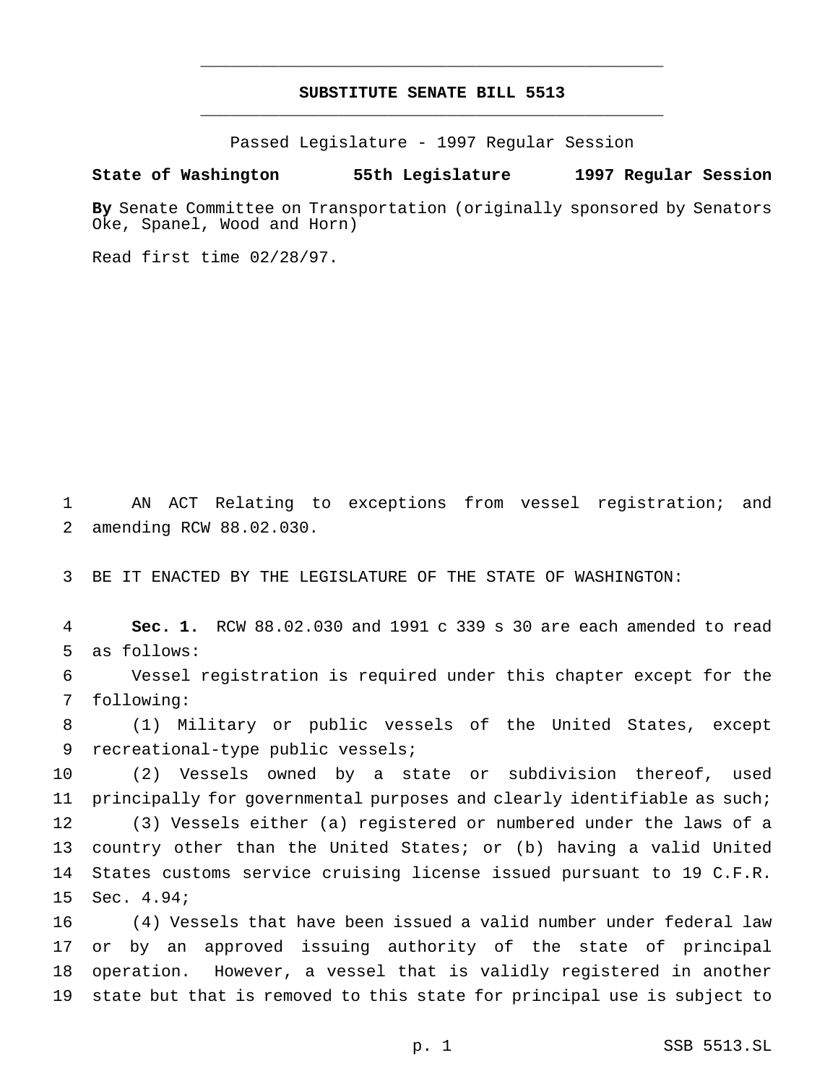# **SUBSTITUTE SENATE BILL 5513** \_\_\_\_\_\_\_\_\_\_\_\_\_\_\_\_\_\_\_\_\_\_\_\_\_\_\_\_\_\_\_\_\_\_\_\_\_\_\_\_\_\_\_\_\_\_\_

\_\_\_\_\_\_\_\_\_\_\_\_\_\_\_\_\_\_\_\_\_\_\_\_\_\_\_\_\_\_\_\_\_\_\_\_\_\_\_\_\_\_\_\_\_\_\_

Passed Legislature - 1997 Regular Session

## **State of Washington 55th Legislature 1997 Regular Session**

**By** Senate Committee on Transportation (originally sponsored by Senators Oke, Spanel, Wood and Horn)

Read first time 02/28/97.

 AN ACT Relating to exceptions from vessel registration; and amending RCW 88.02.030.

BE IT ENACTED BY THE LEGISLATURE OF THE STATE OF WASHINGTON:

 **Sec. 1.** RCW 88.02.030 and 1991 c 339 s 30 are each amended to read as follows:

 Vessel registration is required under this chapter except for the following:

 (1) Military or public vessels of the United States, except recreational-type public vessels;

 (2) Vessels owned by a state or subdivision thereof, used principally for governmental purposes and clearly identifiable as such; (3) Vessels either (a) registered or numbered under the laws of a country other than the United States; or (b) having a valid United States customs service cruising license issued pursuant to 19 C.F.R. Sec. 4.94;

 (4) Vessels that have been issued a valid number under federal law or by an approved issuing authority of the state of principal operation. However, a vessel that is validly registered in another state but that is removed to this state for principal use is subject to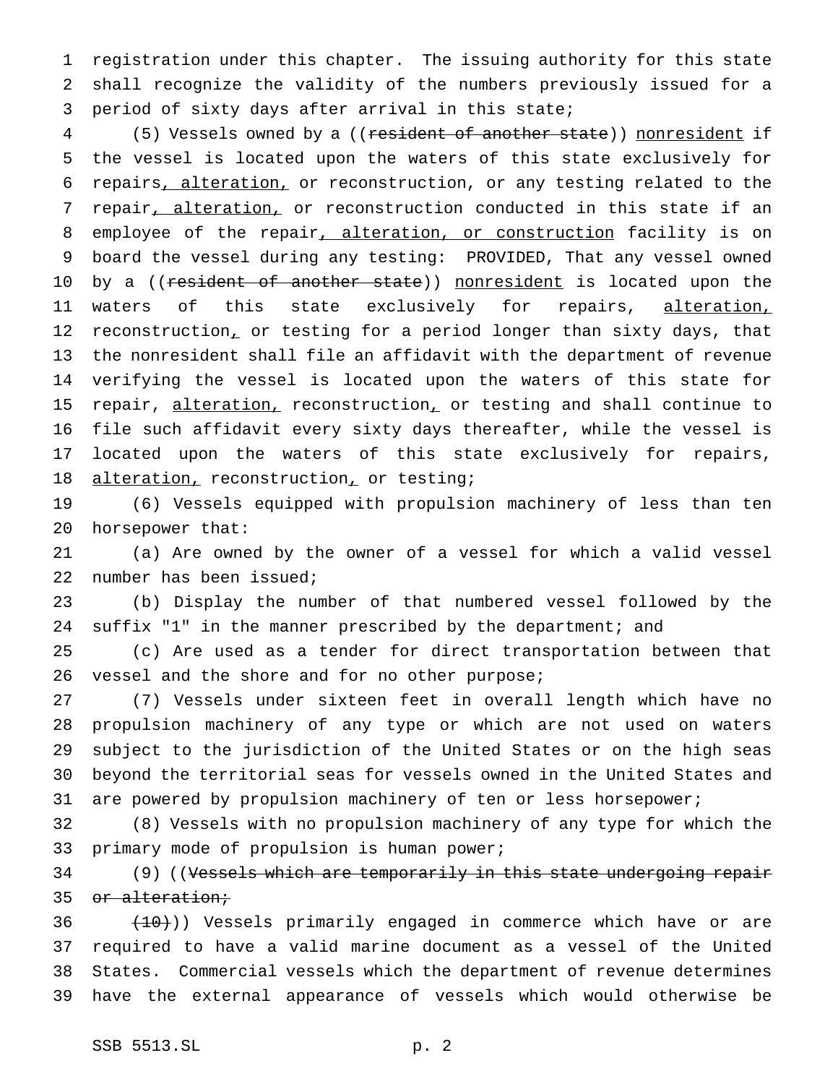registration under this chapter. The issuing authority for this state shall recognize the validity of the numbers previously issued for a period of sixty days after arrival in this state;

 (5) Vessels owned by a ((resident of another state)) nonresident if the vessel is located upon the waters of this state exclusively for repairs, alteration, or reconstruction, or any testing related to the 7 repair, alteration, or reconstruction conducted in this state if an 8 employee of the repair, alteration, or construction facility is on board the vessel during any testing: PROVIDED, That any vessel owned 10 by a ((resident of another state)) nonresident is located upon the 11 waters of this state exclusively for repairs, alteration, 12 reconstruction, or testing for a period longer than sixty days, that the nonresident shall file an affidavit with the department of revenue verifying the vessel is located upon the waters of this state for 15 repair, alteration, reconstruction, or testing and shall continue to file such affidavit every sixty days thereafter, while the vessel is located upon the waters of this state exclusively for repairs, 18 alteration, reconstruction, or testing;

 (6) Vessels equipped with propulsion machinery of less than ten horsepower that:

 (a) Are owned by the owner of a vessel for which a valid vessel number has been issued;

 (b) Display the number of that numbered vessel followed by the suffix "1" in the manner prescribed by the department; and

 (c) Are used as a tender for direct transportation between that 26 vessel and the shore and for no other purpose;

 (7) Vessels under sixteen feet in overall length which have no propulsion machinery of any type or which are not used on waters subject to the jurisdiction of the United States or on the high seas beyond the territorial seas for vessels owned in the United States and are powered by propulsion machinery of ten or less horsepower;

 (8) Vessels with no propulsion machinery of any type for which the primary mode of propulsion is human power;

34 (9) ((Vessels which are temporarily in this state undergoing repair 35 or alteration;

  $(10)$ ) Vessels primarily engaged in commerce which have or are required to have a valid marine document as a vessel of the United States. Commercial vessels which the department of revenue determines have the external appearance of vessels which would otherwise be